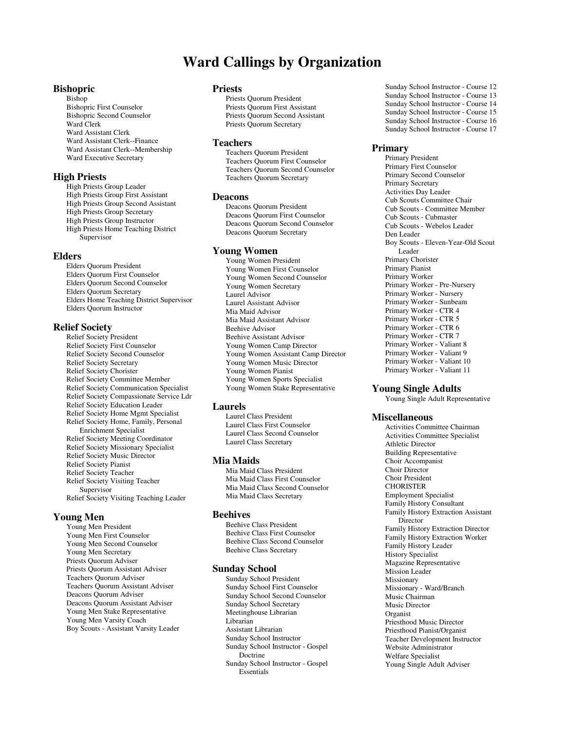# **Ward Callings by Organization**

# **Bishopric**

Bishop Bishopric First Counselor Bishopric Second Counselor Ward Clerk Ward Assistant Clerk Ward Assistant Clerk--Finance Ward Assistant Clerk--Membership Ward Executive Secretary

# **High Priests**

High Priests Group Leader High Priests Group First Assistant High Priests Group Second Assistant High Priests Group Secretary High Priests Group Instructor High Priests Home Teaching District Supervisor

# **Elders**

Elders Quorum President Elders Quorum First Counselor Elders Quorum Second Counselor Elders Quorum Secretary Elders Home Teaching District Supervisor Elders Quorum Instructor

#### **Relief Society**

Relief Society President Relief Society First Counselor Relief Society Second Counselor Relief Society Secretary Relief Society Chorister Relief Society Committee Member Relief Society Communication Specialist Relief Society Compassionate Service Ldr Relief Society Education Leader Relief Society Home Mgmt Specialist Relief Society Home, Family, Personal Enrichment Specialist Relief Society Meeting Coordinator Relief Society Missionary Specialist Relief Society Music Director Relief Society Pianist Relief Society Teacher Relief Society Visiting Teacher Supervisor Relief Society Visiting Teaching Leader

# **Young Men**

Young Men President Young Men First Counselor Young Men Second Counselor Young Men Secretary Priests Quorum Adviser Priests Quorum Assistant Adviser Teachers Quorum Adviser Teachers Quorum Assistant Adviser Deacons Quorum Adviser Deacons Quorum Assistant Adviser Young Men Stake Representative Young Men Varsity Coach Boy Scouts - Assistant Varsity Leader

# **Priests**

Priests Quorum President Priests Quorum First Assistant Priests Quorum Second Assistant Priests Quorum Secretary

# **Teachers**

Teachers Quorum President Teachers Quorum First Counselor Teachers Quorum Second Counselor Teachers Quorum Secretary

# **Deacons**

Deacons Quorum President Deacons Quorum First Counselor Deacons Quorum Second Counselor Deacons Quorum Secretary

# **Young Women**

Young Women President Young Women First Counselor Young Women Second Counselor Young Women Secretary Laurel Advisor Laurel Assistant Advisor Mia Maid Advisor Mia Maid Assistant Advisor Beehive Advisor Beehive Assistant Advisor Young Women Camp Director Young Women Assistant Camp Director Young Women Music Director Young Women Pianist Young Women Sports Specialist Young Women Stake Representative

#### **Laurels**

Laurel Class President Laurel Class First Counselor Laurel Class Second Counselor Laurel Class Secretary

# **Mia Maids**

Mia Maid Class President Mia Maid Class First Counselor Mia Maid Class Second Counselor Mia Maid Class Secretary

# **Beehives**

Beehive Class President Beehive Class First Counselor Beehive Class Second Counselor Beehive Class Secretary

#### **Sunday School**

Sunday School President Sunday School First Counselor Sunday School Second Counselor Sunday School Secretary Meetinghouse Librarian Librarian Assistant Librarian Sunday School Instructor Sunday School Instructor - Gospel Doctrine Sunday School Instructor - Gospel Essentials

Sunday School Instructor - Course 12 Sunday School Instructor - Course 13 Sunday School Instructor - Course 14 Sunday School Instructor - Course 15 Sunday School Instructor - Course 16 Sunday School Instructor - Course 17

# **Primary**

Primary President Primary First Counselor Primary Second Counselor Primary Secretary Activities Day Leader Cub Scouts Committee Chair Cub Scouts - Committee Member Cub Scouts - Cubmaster Cub Scouts - Webelos Leader Den Leader Boy Scouts - Eleven-Year-Old Scout Leader Primary Chorister Primary Pianist Primary Worker Primary Worker - Pre-Nursery Primary Worker - Nursery Primary Worker - Sunbeam Primary Worker - CTR 4 Primary Worker - CTR 5 Primary Worker - CTR 6 Primary Worker - CTR 7 Primary Worker - Valiant 8 Primary Worker - Valiant 9 Primary Worker - Valiant 10 Primary Worker - Valiant 11

# **Young Single Adults**

Young Single Adult Representative

#### **Miscellaneous**

Activities Committee Chairman Activities Committee Specialist Athletic Director Building Representative Choir Accompanist Choir Director Choir President **CHORISTER** Employment Specialist Family History Consultant Family History Extraction Assistant Director Family History Extraction Director Family History Extraction Worker Family History Leader History Specialist Magazine Representative Mission Leader Missionary Missionary - Ward/Branch Music Chairman Music Director Organist Priesthood Music Director Priesthood Pianist/Organist Teacher Development Instructor Website Administrator Welfare Specialist Young Single Adult Adviser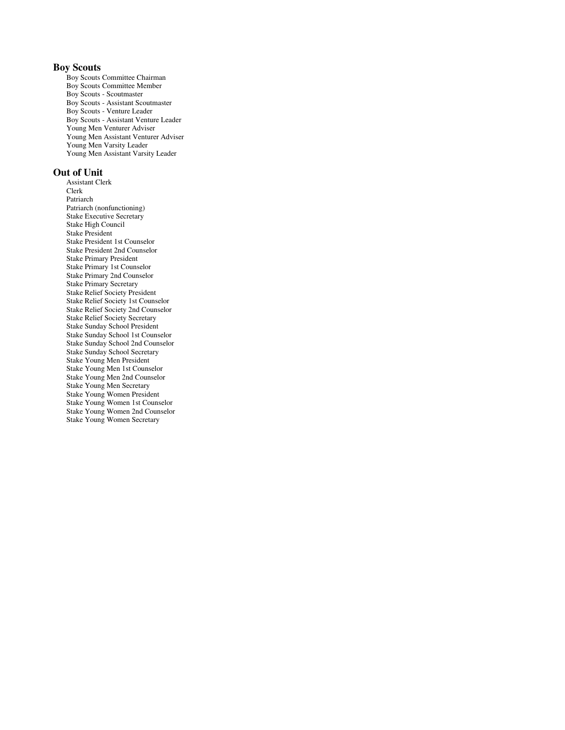# **Boy Scouts**

Boy Scouts Committee Chairman Boy Scouts Committee Member Boy Scouts - Scoutmaster Boy Scouts - Assistant Scoutmaster Boy Scouts - Venture Leader Boy Scouts - Assistant Venture Leader Young Men Venturer Adviser Young Men Assistant Venturer Adviser Young Men Varsity Leader Young Men Assistant Varsity Leader

# **Out of Unit**

Assistant Clerk Clerk Patriarch Patriarch (nonfunctioning) Stake Executive Secretary Stake High Council Stake President Stake President 1st Counselor Stake President 2nd Counselor Stake Primary President Stake Primary 1st Counselor Stake Primary 2nd Counselor Stake Primary Secretary Stake Relief Society President Stake Relief Society 1st Counselor Stake Relief Society 2nd Counselor Stake Relief Society Secretary Stake Sunday School President Stake Sunday School 1st Counselor Stake Sunday School 2nd Counselor Stake Sunday School Secretary Stake Young Men President Stake Young Men 1st Counselor Stake Young Men 2nd Counselor Stake Young Men Secretary Stake Young Women President Stake Young Women 1st Counselor Stake Young Women 2nd Counselor Stake Young Women Secretary